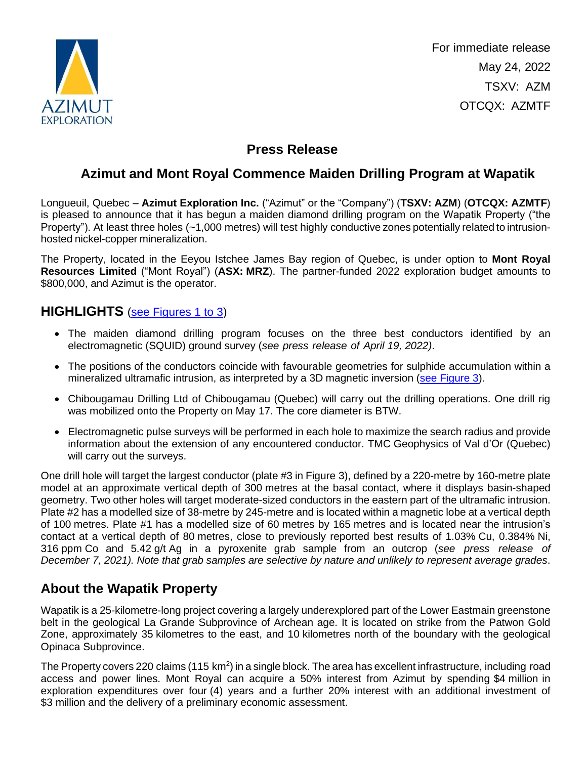

For immediate release May 24, 2022 TSXV: AZM OTCQX: AZMTF

# **Press Release**

# **Azimut and Mont Royal Commence Maiden Drilling Program at Wapatik**

Longueuil, Quebec – **Azimut Exploration Inc.** ("Azimut" or the "Company") (**TSXV: AZM**) (**OTCQX: AZMTF**) is pleased to announce that it has begun a maiden diamond drilling program on the Wapatik Property ("the Property"). At least three holes (~1,000 metres) will test highly conductive zones potentially related to intrusionhosted nickel-copper mineralization.

The Property, located in the Eeyou Istchee James Bay region of Quebec, is under option to **Mont Royal Resources Limited** ("Mont Royal") (**ASX: MRZ**). The partner-funded 2022 exploration budget amounts to \$800,000, and Azimut is the operator.

#### **HIGHLIGHTS** [\(see Figures 1 to 3\)](https://azimut-exploration.com/wp-content/uploads/2022/05/AZM_PR20220524_Fig1-3-p.pdf)

- The maiden diamond drilling program focuses on the three best conductors identified by an electromagnetic (SQUID) ground survey (*see press release of April 19, 2022)*.
- The positions of the conductors coincide with favourable geometries for sulphide accumulation within a mineralized ultramafic intrusion, as interpreted by a 3D magnetic inversion [\(see Figure 3\)](https://azimut-exploration.com/wp-content/uploads/2022/05/AZM_PR20220524_Fig3-p.pdf).
- Chibougamau Drilling Ltd of Chibougamau (Quebec) will carry out the drilling operations. One drill rig was mobilized onto the Property on May 17. The core diameter is BTW.
- Electromagnetic pulse surveys will be performed in each hole to maximize the search radius and provide information about the extension of any encountered conductor. TMC Geophysics of Val d'Or (Quebec) will carry out the surveys.

One drill hole will target the largest conductor (plate #3 in Figure 3), defined by a 220-metre by 160-metre plate model at an approximate vertical depth of 300 metres at the basal contact, where it displays basin-shaped geometry. Two other holes will target moderate-sized conductors in the eastern part of the ultramafic intrusion. Plate #2 has a modelled size of 38-metre by 245-metre and is located within a magnetic lobe at a vertical depth of 100 metres. Plate #1 has a modelled size of 60 metres by 165 metres and is located near the intrusion's contact at a vertical depth of 80 metres, close to previously reported best results of 1.03% Cu, 0.384% Ni, 316 ppm Co and 5.42 g/t Ag in a pyroxenite grab sample from an outcrop (*see press release of December 7, 2021). Note that grab samples are selective by nature and unlikely to represent average grades*.

# **About the Wapatik Property**

Wapatik is a 25-kilometre-long project covering a largely underexplored part of the Lower Eastmain greenstone belt in the geological La Grande Subprovince of Archean age. It is located on strike from the Patwon Gold Zone, approximately 35 kilometres to the east, and 10 kilometres north of the boundary with the geological Opinaca Subprovince.

The Property covers 220 claims (115 km<sup>2</sup>) in a single block. The area has excellent infrastructure, including road access and power lines. Mont Royal can acquire a 50% interest from Azimut by spending \$4 million in exploration expenditures over four (4) years and a further 20% interest with an additional investment of \$3 million and the delivery of a preliminary economic assessment.